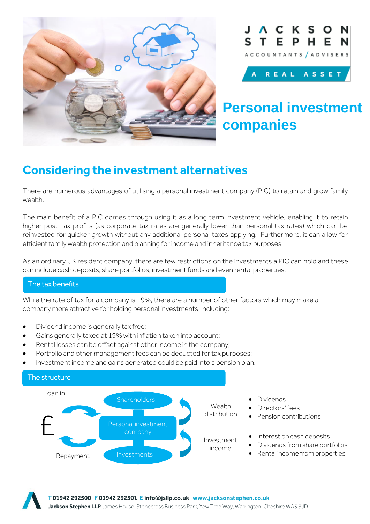





# **Personal investment companies**

## **Considering the investment alternatives**

There are numerous advantages of utilising a personal investment company (PIC) to retain and grow family wealth.

The main benefit of a PIC comes through using it as a long term investment vehicle, enabling it to retain higher post-tax profits (as corporate tax rates are generally lower than personal tax rates) which can be reinvested for quicker growth without any additional personal taxes applying. Furthermore, it can allow for efficient family wealth protection and planning for income and inheritance tax purposes.

As an ordinary UK resident company, there are few restrictions on the investments a PIC can hold and these can include cash deposits, share portfolios, investment funds and even rental properties.

### The tax benefits

While the rate of tax for a company is 19%, there are a number of other factors which may make a company more attractive for holding personal investments, including:

- Dividend income is generally tax free:
- Gains generally taxed at 19% with inflation taken into account;
- Rental losses can be offset against other income in the company;
- Portfolio and other management fees can be deducted for tax purposes;
- Investment income and gains generated could be paid into a pension plan.

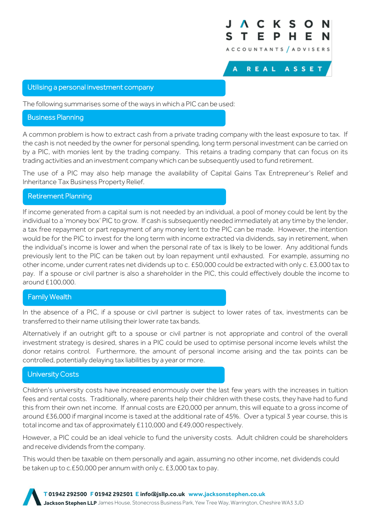

REAL ASSET

A

#### Utilising a personal investment company

The following summarises some of the ways in which a PIC can be used:

#### Business Planning

A common problem is how to extract cash from a private trading company with the least exposure to tax. If the cash is not needed by the owner for personal spending, long term personal investment can be carried on by a PIC, with monies lent by the trading company. This retains a trading company that can focus on its trading activities and an investment company which can be subsequently used to fund retirement.

The use of a PIC may also help manage the availability of Capital Gains Tax Entrepreneur's Relief and Inheritance Tax Business Property Relief.

#### Retirement Planning

If income generated from a capital sum is not needed by an individual, a pool of money could be lent by the individual to a 'money box' PIC to grow. If cash is subsequently needed immediately at any time by the lender, a tax free repayment or part repayment of any money lent to the PIC can be made. However, the intention would be for the PIC to invest for the long term with income extracted via dividends, say in retirement, when the individual's income is lower and when the personal rate of tax is likely to be lower. Any additional funds previously lent to the PIC can be taken out by loan repayment until exhausted. For example, assuming no other income, under current rates net dividends up to c. £50,000 could be extracted with only c. £3,000 tax to pay. If a spouse or civil partner is also a shareholder in the PIC, this could effectively double the income to around £100,000.

#### Family Wealth

In the absence of a PIC, if a spouse or civil partner is subject to lower rates of tax, investments can be transferred to their name utilising their lower rate tax bands.

Alternatively if an outright gift to a spouse or civil partner is not appropriate and control of the overall investment strategy is desired, shares in a PIC could be used to optimise personal income levels whilst the donor retains control. Furthermore, the amount of personal income arising and the tax points can be controlled, potentially delaying tax liabilities by a year or more.

#### University Costs

Children's university costs have increased enormously over the last few years with the increases in tuition fees and rental costs. Traditionally, where parents help their children with these costs, they have had to fund this from their own net income. If annual costs are £20,000 per annum, this will equate to a gross income of around £36,000 if marginal income is taxed at the additional rate of 45%. Over a typical 3 year course, this is total income and tax of approximately £110,000 and £49,000 respectively.

However, a PIC could be an ideal vehicle to fund the university costs. Adult children could be shareholders and receive dividends from the company.

This would then be taxable on them personally and again, assuming no other income, net dividends could be taken up to c.£50,000 per annum with only c. £3,000 tax to pay.